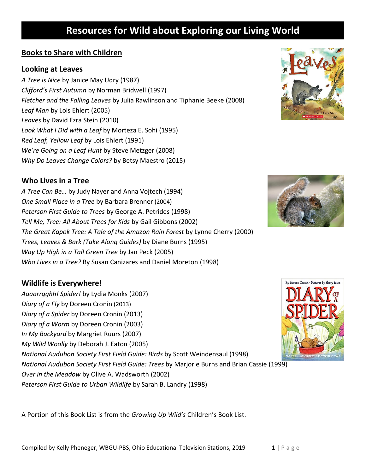### **Books to Share with Children**

#### **Looking at Leaves**

*A Tree is Nice* by Janice May Udry (1987) *Clifford's First Autumn* by Norman Bridwell (1997) *Fletcher and the Falling Leaves* by Julia Rawlinson and Tiphanie Beeke (2008) *Leaf Man* by Lois Ehlert (2005) *Leaves* by David Ezra Stein (2010) *Look What I Did with a Leaf* by Morteza E. Sohi (1995) *Red Leaf, Yellow Leaf* by Lois Ehlert (1991) *We're Going on a Leaf Hunt* by Steve Metzger (2008) *Why Do Leaves Change Colors?* by Betsy Maestro (2015)

### **Who Lives in a Tree**

*A Tree Can Be…* by Judy Nayer and Anna Vojtech (1994) *One Small Place in a Tree* by Barbara Brenner (2004) *Peterson First Guide to Trees* by George A. Petrides (1998) *Tell Me, Tree: All About Trees for Kids* by Gail Gibbons (2002) *The Great Kapok Tree: A Tale of the Amazon Rain Forest* by Lynne Cherry (2000) *Trees, Leaves & Bark (Take Along Guides)* by Diane Burns (1995) *Way Up High in a Tall Green Tree* by Jan Peck (2005) *Who Lives in a Tree?* By Susan Canizares and Daniel Moreton (1998)

### **Wildlife is Everywhere!**

*Aaaarrgghh! Spider!* by Lydia Monks (2007) *Diary of a Fly* by Doreen Cronin (2013) *Diary of a Spider* by Doreen Cronin (2013) *Diary of a Worm* by Doreen Cronin (2003) *In My Backyard* by Margriet Ruurs (2007) *My Wild Woolly* by Deborah J. Eaton (2005) *National Audubon Society First Field Guide: Birds* by Scott Weindensaul (1998) *National Audubon Society First Field Guide: Trees* by Marjorie Burns and Brian Cassie (1999) *Over in the Meadow* by Olive A. Wadsworth (2002) *Peterson First Guide to Urban Wildlife* by Sarah B. Landry (1998)

A Portion of this Book List is from the *Growing Up Wild's* Children's Book List.





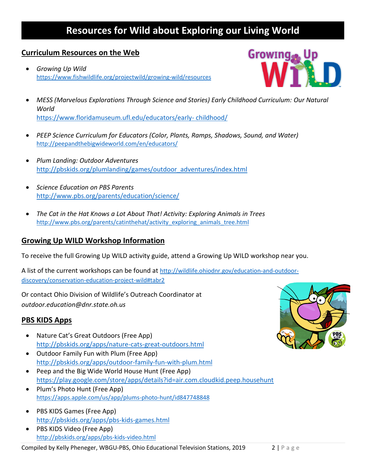#### **Curriculum Resources on the Web**

• *Growing Up Wild* <https://www.fishwildlife.org/projectwild/growing-wild/resources>



- *MESS (Marvelous Explorations Through Science and Stories) Early Childhood Curriculum: Our Natural World* [https://www.floridamuseum.ufl.edu/educators/early-](https://www.floridamuseum.ufl.edu/educators/early-%20childhood/) childhood/
- *PEEP Science Curriculum for Educators (Color, Plants, Ramps, Shadows, Sound, and Water)* <http://peepandthebigwideworld.com/en/educators/>
- *Plum Landing: Outdoor Adventures* [http://pbskids.org/plumlanding/games/outdoor\\_adventures/index.html](http://pbskids.org/plumlanding/games/outdoor_adventures/index.html)
- *Science Education on PBS Parents* <http://www.pbs.org/parents/education/science/>
- *The Cat in the Hat Knows a Lot About That! Activity: Exploring Animals in Trees* [http://www.pbs.org/parents/catinthehat/activity\\_exploring\\_animals\\_tree.html](http://www.pbs.org/parents/catinthehat/activity_exploring_animals_tree.html)

### **Growing Up WILD Workshop Information**

To receive the full Growing Up WILD activity guide, attend a Growing Up WILD workshop near you.

A list of the current workshops can be found at [http://wildlife.ohiodnr.gov/education-and-outdoor](http://wildlife.ohiodnr.gov/education-and-outdoor-discovery/conservation-education-project-wild)[discovery/conservation-education-project-wild#tabr2](http://wildlife.ohiodnr.gov/education-and-outdoor-discovery/conservation-education-project-wild)

Or contact Ohio Division of Wildlife's Outreach Coordinator at *[outdoor.education@dnr.state.oh.us](mailto:outdoor.education@dnr.state.oh.us)*

### **PBS KIDS Apps**

- Nature Cat's Great Outdoors (Free App) <http://pbskids.org/apps/nature-cats-great-outdoors.html>
- Outdoor Family Fun with Plum (Free App) <http://pbskids.org/apps/outdoor-family-fun-with-plum.html>
- Peep and the Big Wide World House Hunt (Free App) <https://play.google.com/store/apps/details?id=air.com.cloudkid.peep.househunt>
- Plum's Photo Hunt (Free App) <https://apps.apple.com/us/app/plums-photo-hunt/id847748848>
- PBS KIDS Games (Free App) <http://pbskids.org/apps/pbs-kids-games.html>
- PBS KIDS Video (Free App) <http://pbskids.org/apps/pbs-kids-video.html>

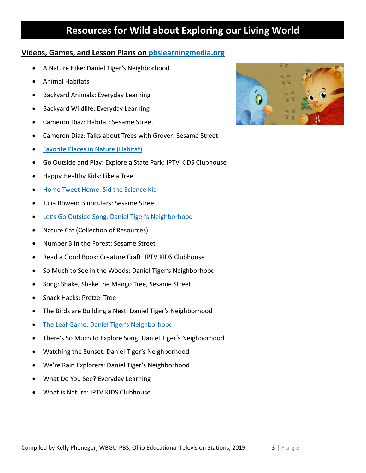#### **Videos, Games, and Lesson Plans on [pbslearningmedia.org](http://pbslearningmedia.org/)**

- A Nature Hike: Daniel Tiger's Neighborhood
- Animal Habitats
- Backyard Animals: Everyday Learning
- Backyard Wildlife: Everyday Learning
- Cameron Diaz: Habitat: Sesame Street
- Cameron Diaz: Talks about Trees with Grover: Sesame Street
- [Favorite Places in Nature \(Habitat\)](https://wgte.pbslearningmedia.org/resource/plum14.sci.life.faveplace/favorite-places-in-nature/#.Wv9Ugu4vyUk)
- Go Outside and Play: Explore a State Park: IPTV KIDS Clubhouse
- Happy Healthy Kids: Like a Tree
- [Home Tweet Home: Sid the Science Kid](https://wgte.pbslearningmedia.org/resource/9c7f95db-96d9-4022-afd2-d20383aeb715/9c7f95db-96d9-4022-afd2-d20383aeb715/#.Wv9Pnu4vyUk)
- Julia Bowen: Binoculars: Sesame Street
- [Let's Go Outside Song: Daniel Tiger's Neighborhood](https://wgte.pbslearningmedia.org/resource/a617fa49-95e6-4366-bbea-a34ab0a3da7d/lets-go-outside-song-daniel-tigers-neighborhood/#.Wv9UYO4vyUk)
- Nature Cat (Collection of Resources)
- Number 3 in the Forest: Sesame Street
- Read a Good Book: Creature Craft: IPTV KIDS Clubhouse
- So Much to See in the Woods: Daniel Tiger's Neighborhood
- Song: Shake, Shake the Mango Tree, Sesame Street
- Snack Hacks: Pretzel Tree
- The Birds are Building a Nest: Daniel Tiger's Neighborhood
- [The Leaf Game: Daniel Tiger's Neighborhood](https://wgte.pbslearningmedia.org/resource/88972b93-72d3-4c70-a662-b3955a169774/the-leaf-game-daniel-tigers-neighborhood/#.Wv9Lme4vyUk)
- There's So Much to Explore Song: Daniel Tiger's Neighborhood
- Watching the Sunset: Daniel Tiger's Neighborhood
- We're Rain Explorers: Daniel Tiger's Neighborhood
- What Do You See? Everyday Learning
- What is Nature: IPTV KIDS Clubhouse